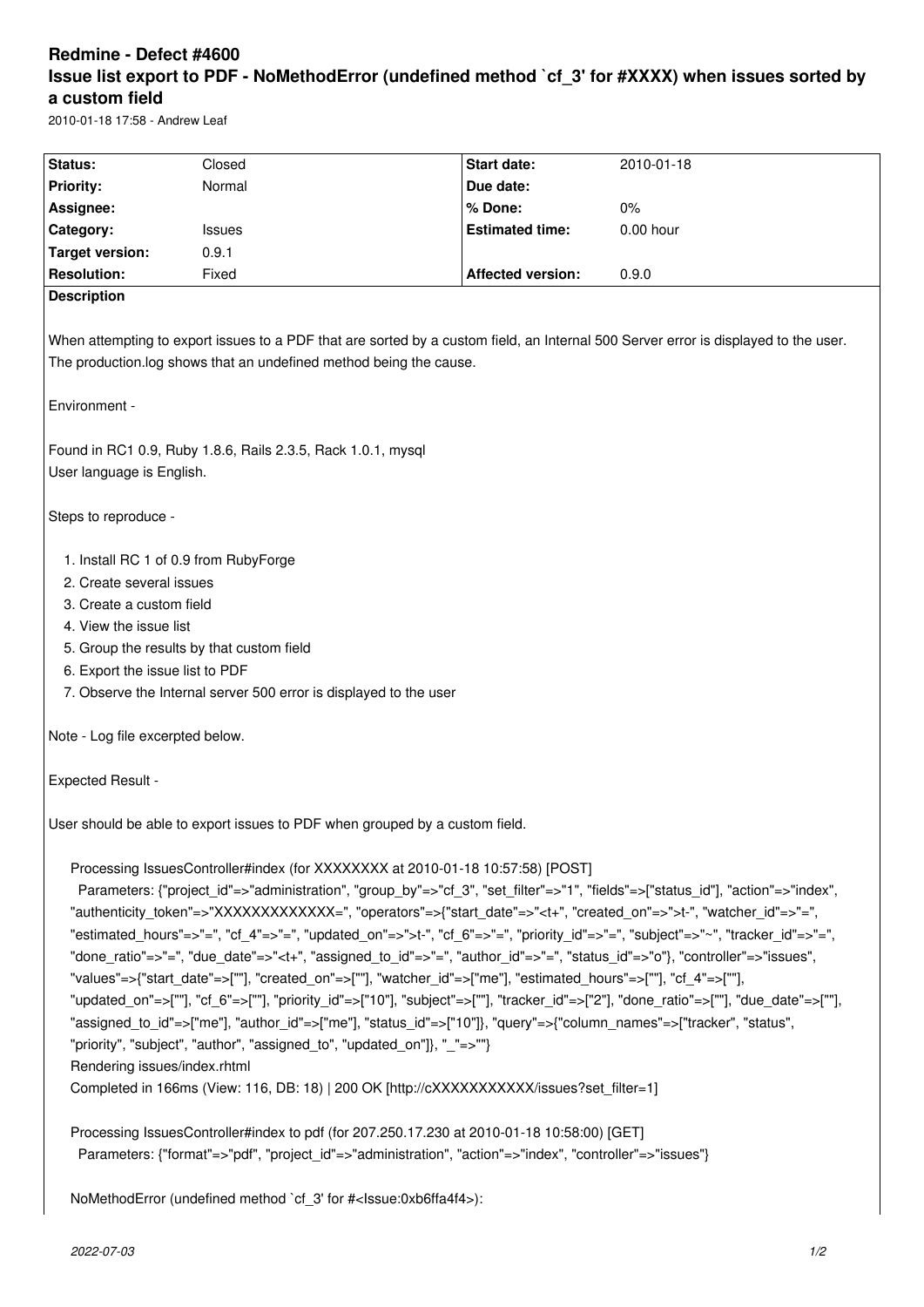# **Redmine - Defect #4600 Issue list export to PDF - NoMethodError (undefined method `cf\_3' for #XXXX) when issues sorted by a custom field**

2010-01-18 17:58 - Andrew Leaf

| Status:                                                                                                                                                                                                                                                                                                                                                                                                                                                                                                                                                                                                                                                                                                                                                                                                                                                                                                                                                                                                                                                                                                                                                                                                                                                                                                                                  | Closed | Start date:              | 2010-01-18  |
|------------------------------------------------------------------------------------------------------------------------------------------------------------------------------------------------------------------------------------------------------------------------------------------------------------------------------------------------------------------------------------------------------------------------------------------------------------------------------------------------------------------------------------------------------------------------------------------------------------------------------------------------------------------------------------------------------------------------------------------------------------------------------------------------------------------------------------------------------------------------------------------------------------------------------------------------------------------------------------------------------------------------------------------------------------------------------------------------------------------------------------------------------------------------------------------------------------------------------------------------------------------------------------------------------------------------------------------|--------|--------------------------|-------------|
| <b>Priority:</b>                                                                                                                                                                                                                                                                                                                                                                                                                                                                                                                                                                                                                                                                                                                                                                                                                                                                                                                                                                                                                                                                                                                                                                                                                                                                                                                         | Normal | Due date:                |             |
| Assignee:                                                                                                                                                                                                                                                                                                                                                                                                                                                                                                                                                                                                                                                                                                                                                                                                                                                                                                                                                                                                                                                                                                                                                                                                                                                                                                                                |        | % Done:                  | 0%          |
| Category:                                                                                                                                                                                                                                                                                                                                                                                                                                                                                                                                                                                                                                                                                                                                                                                                                                                                                                                                                                                                                                                                                                                                                                                                                                                                                                                                | Issues | <b>Estimated time:</b>   | $0.00$ hour |
| <b>Target version:</b>                                                                                                                                                                                                                                                                                                                                                                                                                                                                                                                                                                                                                                                                                                                                                                                                                                                                                                                                                                                                                                                                                                                                                                                                                                                                                                                   | 0.9.1  |                          |             |
| <b>Resolution:</b>                                                                                                                                                                                                                                                                                                                                                                                                                                                                                                                                                                                                                                                                                                                                                                                                                                                                                                                                                                                                                                                                                                                                                                                                                                                                                                                       | Fixed  | <b>Affected version:</b> | 0.9.0       |
| <b>Description</b>                                                                                                                                                                                                                                                                                                                                                                                                                                                                                                                                                                                                                                                                                                                                                                                                                                                                                                                                                                                                                                                                                                                                                                                                                                                                                                                       |        |                          |             |
|                                                                                                                                                                                                                                                                                                                                                                                                                                                                                                                                                                                                                                                                                                                                                                                                                                                                                                                                                                                                                                                                                                                                                                                                                                                                                                                                          |        |                          |             |
| When attempting to export issues to a PDF that are sorted by a custom field, an Internal 500 Server error is displayed to the user.<br>The production.log shows that an undefined method being the cause.                                                                                                                                                                                                                                                                                                                                                                                                                                                                                                                                                                                                                                                                                                                                                                                                                                                                                                                                                                                                                                                                                                                                |        |                          |             |
| Environment -                                                                                                                                                                                                                                                                                                                                                                                                                                                                                                                                                                                                                                                                                                                                                                                                                                                                                                                                                                                                                                                                                                                                                                                                                                                                                                                            |        |                          |             |
| Found in RC1 0.9, Ruby 1.8.6, Rails 2.3.5, Rack 1.0.1, mysql<br>User language is English.                                                                                                                                                                                                                                                                                                                                                                                                                                                                                                                                                                                                                                                                                                                                                                                                                                                                                                                                                                                                                                                                                                                                                                                                                                                |        |                          |             |
| Steps to reproduce -                                                                                                                                                                                                                                                                                                                                                                                                                                                                                                                                                                                                                                                                                                                                                                                                                                                                                                                                                                                                                                                                                                                                                                                                                                                                                                                     |        |                          |             |
| 1. Install RC 1 of 0.9 from RubyForge<br>2. Create several issues<br>3. Create a custom field<br>4. View the issue list<br>5. Group the results by that custom field<br>6. Export the issue list to PDF<br>7. Observe the Internal server 500 error is displayed to the user                                                                                                                                                                                                                                                                                                                                                                                                                                                                                                                                                                                                                                                                                                                                                                                                                                                                                                                                                                                                                                                             |        |                          |             |
| Note - Log file excerpted below.                                                                                                                                                                                                                                                                                                                                                                                                                                                                                                                                                                                                                                                                                                                                                                                                                                                                                                                                                                                                                                                                                                                                                                                                                                                                                                         |        |                          |             |
| <b>Expected Result -</b>                                                                                                                                                                                                                                                                                                                                                                                                                                                                                                                                                                                                                                                                                                                                                                                                                                                                                                                                                                                                                                                                                                                                                                                                                                                                                                                 |        |                          |             |
| User should be able to export issues to PDF when grouped by a custom field.                                                                                                                                                                                                                                                                                                                                                                                                                                                                                                                                                                                                                                                                                                                                                                                                                                                                                                                                                                                                                                                                                                                                                                                                                                                              |        |                          |             |
| Processing IssuesController#index (for XXXXXXXX at 2010-01-18 10:57:58) [POST]<br>Parameters: {"project id"=>"administration", "group by"=>"cf 3", "set filter"=>"1", "fields"=>["status id"], "action"=>"index",<br>"authenticity_token"=>"XXXXXXXXXXXXX=", "operators"=>{"start_date"=>" <t+", "created_on"="">"&gt;t-", "watcher_id"=&gt;"=",<br/>"estimated_hours"=&gt;"=", "cf_4"=&gt;"=", "updated_on"=&gt;"&gt;t-", "cf_6"=&gt;"=", "priority_id"=&gt;"=", "subject"=&gt;"~", "tracker_id"=&gt;"=",<br/>"done ratio"=&gt;"=", "due date"=&gt;"<t+", "assigned="" id"="" to="">"=", "author id"=&gt;"=", "status id"=&gt;"o"}, "controller"=&gt;"issues",<br/>"values"=&gt;{"start_date"=&gt;[""], "created_on"=&gt;[""], "watcher_id"=&gt;["me"], "estimated_hours"=&gt;[""], "cf_4"=&gt;[""],<br/>"updated_on"=&gt;[""], "cf_6"=&gt;[""], "priority_id"=&gt;["10"], "subject"=&gt;[""], "tracker_id"=&gt;["2"], "done_ratio"=&gt;[""], "due_date"=&gt;[""],<br/>"assigned to id"=&gt;["me"], "author id"=&gt;["me"], "status id"=&gt;["10"]}, "query"=&gt;{"column names"=&gt;["tracker", "status",<br/>"priority", "subject", "author", "assigned_to", "updated_on"]}, "_"=&gt;""}<br/>Rendering issues/index.rhtml<br/>Completed in 166ms (View: 116, DB: 18)   200 OK [http://cXXXXXXXXXXX/issues?set filter=1]</t+",></t+",> |        |                          |             |
| Processing IssuesController#index to pdf (for 207.250.17.230 at 2010-01-18 10:58:00) [GET]<br>Parameters: {"format"=>"pdf", "project_id"=>"administration", "action"=>"index", "controller"=>"issues"}                                                                                                                                                                                                                                                                                                                                                                                                                                                                                                                                                                                                                                                                                                                                                                                                                                                                                                                                                                                                                                                                                                                                   |        |                          |             |
| NoMethodError (undefined method `cf_3' for # <lssue:0xb6ffa4f4>):</lssue:0xb6ffa4f4>                                                                                                                                                                                                                                                                                                                                                                                                                                                                                                                                                                                                                                                                                                                                                                                                                                                                                                                                                                                                                                                                                                                                                                                                                                                     |        |                          |             |